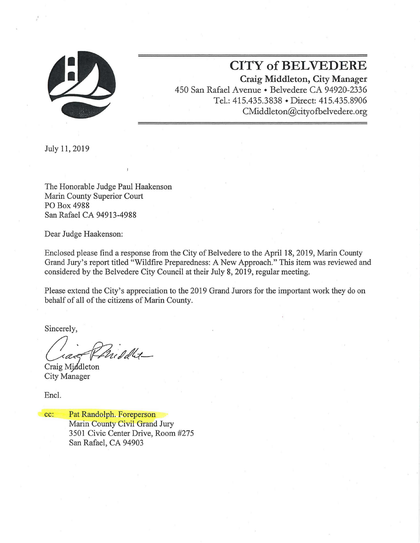

**CITY of BELVEDERE**  Craig Middleton, City Manager 450 San Rafael Avenue • Belvedere CA 94920-2336 Tel.: 415.435.3838 • Direct: 415.435.8906 CMiddleton@cityofbelvedere.org

July 11,2019

The Honorable Judge Paul Haakenson Marin County Superior Court PO Box 4988 San Rafael CA 94913-4988

Dear Judge Haakenson:

Enclosed please find a response from the City of Belvedere to the April 18, 2019, Marin County Grand Jury's report titled "Wildfire Preparedness: A New Approach." This item was reviewed and considered by the Belvedere City Council at their July 8, 2019, regular meeting.

Please extend the City's appreciation to the 2019 Grand Jurors for the important work they do on behalf of all of the citizens of Marin County.

Sincerely,

Middlet-

Craig Middleton City Manager

Encl.

cc: Pat Randolph. Foreperson Marin County Civil Grand Jury 3501 Civic Center Drive, Room #275 San Rafael, CA 94903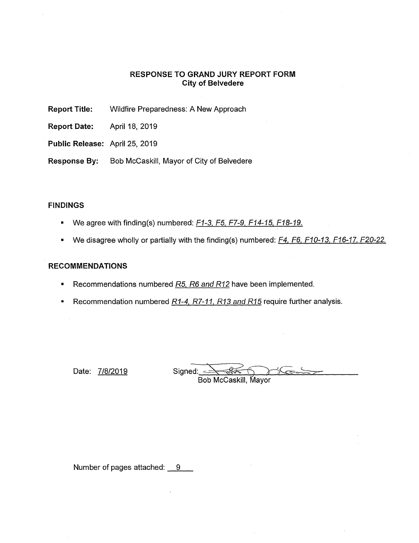# **RESPONSE TO GRAND JURY REPORT FORM City of Belvedere**

**Report Title:** Wildfire Preparedness: A New Approach

**Report Date:** April 18, 2019

**Public Release:** April 25, 2019

**Response By:** Bob McCaskill, Mayor of City of Belvedere

# **FINDINGS**

- We agree with finding(s) numbered:  $F1-3$ ,  $F5$ ,  $F7-9$ ,  $F14-15$ ,  $F18-19$ .
- We disagree wholly or partially with the finding(s) numbered: F4, F6, F10-13, F16-17, F20-22.

## **RECOMMENDATIONS**

- Recommendations numbered R5, R6 and R12 have been implemented.
- **•** Recommendation numbered  $R1-4$ ,  $R7-11$ ,  $R13$  and  $R15$  require further analysis.

Date:  $7/8/2019$  Signed:  $\leq$ 

Bob McCaskill, Mayor

Number of pages attached:  $9 -$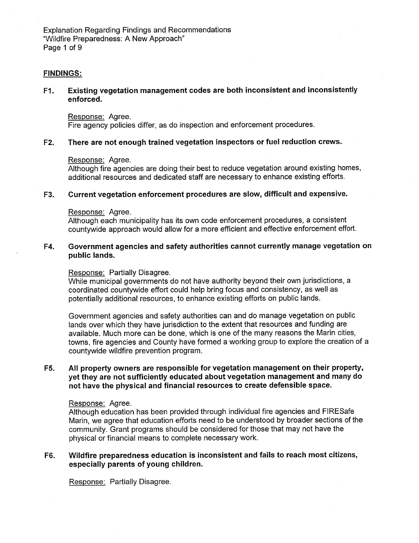### **FINDINGS:**

# **Pl. Existing vegetation management codes are both inconsistent and inconsistently enforced.**

Response: Agree. Fire agency policies differ, as do inspection and enforcement procedures.

#### **F2. There are not enough trained vegetation inspectors or fuel reduction crews.**

#### Response: Agree.

Although fire agencies are doing their best to reduce vegetation around existing homes, additional resources and dedicated staff are necessary to enhance existing efforts.

#### **F3. Current vegetation enforcement procedures are slow, difficult and expensive.**

#### Response: Agree.

Although each municipality has its own code enforcement procedures, a consistent countywide approach would allow for a more efficient and effective enforcement effort.

## **F4. Government agencies and safety authorities cannot currently manage vegetation on public lands.**

#### Response: Partially Disagree.

While municipal governments do not have authority beyond their own jurisdictions, a coordinated countywide effort could help bring focus and consistency, as well as potentially additional resources, to enhance existing efforts on public lands.

Government agencies and safety authorities can and do manage vegetation on public lands over which they have jurisdiction to the extent that resources and funding are available. Much more can be done, which is one of the many reasons the Marin cities, towns, fire agencies and County have formed a working group to explore the creation of a countywide wildfire prevention program.

# **F5. All property owners are responsible for vegetation management on their property, yet they are not sufficiently educated about vegetation management and many do not have the physical and financial resources to create defensible space.**

#### Response: Agree.

Although education has been provided through individual fire agencies and FIRESafe Marin, we agree that education efforts need to be understood by broader sections of the community. Grant programs should be considered for those that may not have the physical or financial means to complete necessary work.

## **F6. Wildfire preparedness education is inconsistent and fails to reach most citizens, especially parents of young children.**

Response: Partially Disagree.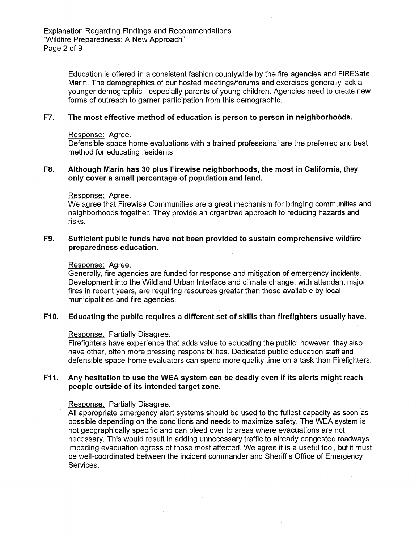Education is offered in a consistent fashion countywide by the fire agencies and FIRESafe Marin. The demographics of our hosted meetings/forums and exercises generally lack a younger demographic - especially parents of young children. Agencies need to create new forms of outreach to garner participation from this demographic.

#### **F7. The most effective method of education is person to person in neighborhoods.**

#### Response: Agree.

Defensible space home evaluations with a trained professional are the preferred and best method for educating residents.

## **F8.** Although Marin has 30 plus Firewise neighborhoods, the most in California, they **only cover a small percentage of population and land.**

#### Response: Agree.

We agree that Firewise Communities are a great mechanism for bringing communities and neighborhoods together. They provide an organized approach to reducing hazards and risks.

## **F9. Sufficient public funds have not been provided to sustain comprehensive wildfire preparedness education.**

#### Response: Agree.

Generally, fire agencies are funded for response and mitigation of emergency incidents. Development into the Wildland Urban Interface and climate change, with attendant major fires in recent years, are requiring resources greater than those available by local municipalities and fire agencies.

### **F10. Educating the public requires a different set of skills than firefighters usually have.**

#### Response: Partially Disagree.

Firefighters have experience that adds value to educating the public; however, they also have other, often more pressing responsibilities. Dedicated public education staff and defensible space home evaluators can spend more quality time on a task than Firefighters.

## **F11. Any hesitation to use the WEA system can be deadly even if its alerts might reach people outside of its intended target zone.**

#### Response: Partially Disagree.

All appropriate emergency alert systems should be used to the fullest capacity as soon as possible depending on the conditions and needs to maximize safety. The WEA system is not geographically specific and can bleed over to areas where evacuations are not necessary. This would result in adding unnecessary traffic to already congested roadways impeding evacuation egress of those most affected. We agree it is a useful tool, but it must be well-coordinated between the incident commander and Sheriff's Office of Emergency Services.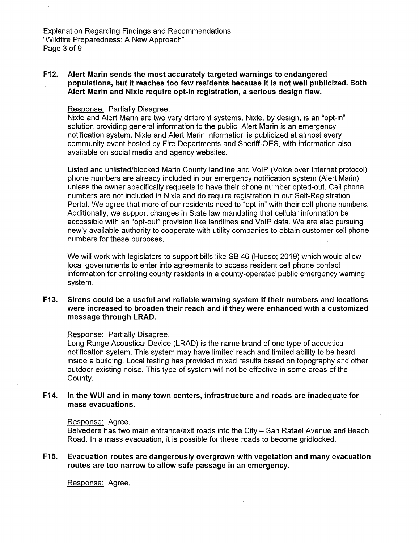**F12.** Alert Marin sends the most accurately targeted warnings to endangered **populations, but it reaches too few residents because it is not well publicized. Both**  Alert Marin and Nixle require opt-in registration, a serious design flaw.

#### Response: Partially Disagree.

Nixle and Alert Marin are two very different systems. Nixle, by design, is an "opt-in" solution providing general information to the public. Alert Marin is an emergency notification system. Nixle and Alert Marin information is publicized at almost every community event hosted by Fire Departments and Sheriff-OES, with information also available on social media and agency websites.

Listed and unlisted/blocked Marin County landline and VolP (Voice over Internet protocol) phone numbers are already included in our emergency notification system (Alert Marin), unless the owner specifically requests to have their phone number opted-out. Cell phone numbers are not included in Nixie and do require registration in our Self-Registration Portal. We agree that more of our residents need to "opt-in" with their cell phone numbers. Additionally, we support changes in State law mandating that cellular information be accessible with an "opt-out" provision like landlines and VolP data. We are also pursuing newly available authority to cooperate with utility companies to obtain customer cell phone numbers for these purposes.

We will work with legislators to support bills like SB 46 (Hueso; 2019) which would allow local governments to enter into agreements to access resident cell phone contact information for enrolling county residents in a county-operated public emergency warning system.

# **F13. Sirens could be a useful and reliable warning system if their numbers and locations were increased to broaden their reach and if they were enhanced with a customized message through LRAD.**

#### Response: Partially Disagree.

Long Range Acoustical Device (LRAD) is the name brand of one type of acoustical notification system. This system may have limited reach and limited ability to be heard inside a building. Local testing has provided mixed results based on topography and other outdoor existing noise. This type of system will not be effective in some areas of the County.

### **F14. In the WUI and in many town centers, infrastructure and roads are inadequate for mass evacuations.**

#### Response: Agree.

Belvedere has two main entrance/exit roads into the City — San Rafael Avenue and Beach Road. In a mass evacuation, it is possible for these roads to become gridlocked.

### **F15. Evacuation routes are dangerously overgrown with vegetation and many evacuation routes are too narrow to allow safe passage in an emergency.**

Response: Agree.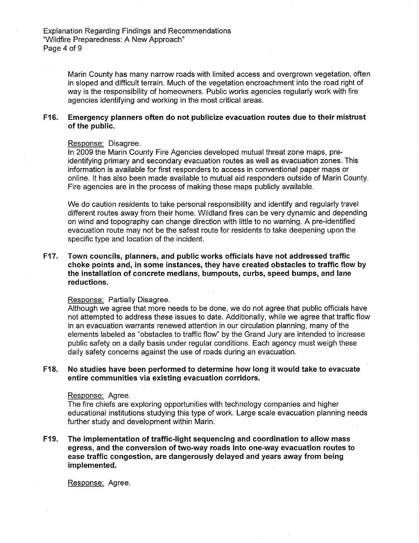Marin County has many narrow roads with limited access and overgrown vegetation, often in sloped and difficult terrain. Much of the vegetation encroachment into the road right of way is the responsibility of homeowners. Public works agencies regularly work with fire agencies identifying and working in the most critical areas.

## **F16. Emergency planners often do not publicize evacuation routes due to their mistrust of the public.**

#### Response: Disagree.

In 2009 the Marin County Fire Agencies developed mutual threat zone maps, preidentifying primary and secondary evacuation routes as well as evacuation zones. This information is available for first responders to access in conventional paper maps or online. It has also been made available to mutual aid responders outside of Mann County. Fire agencies are in the process of making these maps publicly available.

We do caution residents to take personal responsibility and identify and regularly travel different routes away from their home. Wildland fires can be very dynamic and depending on wind and topography can change direction with little to no warning. A pre-identified evacuation route may not be the safest route for residents to take deepening upon the specific type and location of the incident.

# **F17. Town councils, planners, and public works officials have not addressed traffic choke points and, in some instances, they have created obstacles to traffic flow by the installation of concrete medians, bumpouts, curbs, speed bumps, and lane reductions.**

#### Response: Partially Disagree.

Although we agree that more needs to be done, we do not agree that public officials have not attempted to address these issues to date. Additionally, while we agree that traffic flow in an evacuation warrants renewed attention in our circulation planning, many of the elements labeled as "obstacles to traffic flow" by the Grand Jury are intended to increase public safety on a daily basis under regular conditions. Each agency must weigh these daily safety concerns against the use of roads during an evacuation.

### **F18. No studies have been performed to determine how long it would take to evacuate entire communities via existing evacuation corridors.**

#### Response: Agree.

The fire chiefs are exploring opportunities with technology companies and higher educational institutions studying this type of work. Large scale evacuation planning needs further study and development within Marin.

# **F19. The implementation of traffic-light sequencing and coordination to allow mass egress, and the conversion of two-way roads into one-way evacuation routes to ease traffic congestion, are dangerously delayed and years away from being implemented.**

Response: Agree.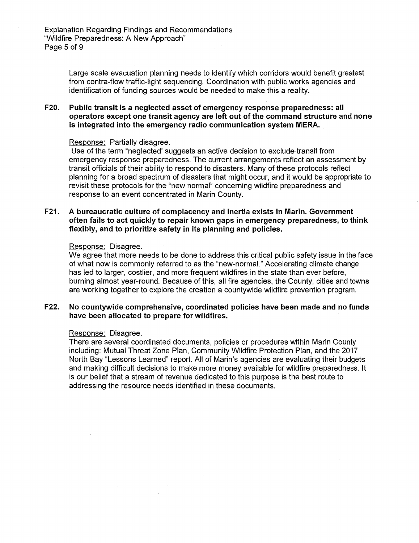Large scale evacuation planning needs to identify which corridors would benefit greatest from contra-flow traffic-light sequencing. Coordination with public works agencies and identification of funding sources would be needed to make this a reality.

# **F20. Public transit is a neglected asset of emergency response preparedness: all operators except one transit agency are left out of the command structure and none is integrated into the emergency radio communication system MERA.**

# Response: Partially disagree.

Use of the term "neglected' suggests an active decision to exclude transit from emergency response preparedness. The current arrangements reflect an assessment by transit officials of their ability to respond to disasters. Many of these protocols reflect planning for a broad spectrum of disasters that might occur, and it would be appropriate to revisit these protocols for the "new normal" concerning wildfire preparedness and response to an event concentrated in Marin County.

## **F21.** A bureaucratic culture of complacency and inertia exists in Marin. Government **often fails to act quickly to repair known gaps in emergency preparedness, to think flexibly, and to prioritize safety in its planning and policies.**

#### Response: Disagree.

We agree that more needs to be done to address this critical public safety issue in the face of what now is commonly referred to as the "new-normal." Accelerating climate change has led to larger, costlier, and more frequent wildfires in the state than ever before, burning almost year-round. Because of this, all fire agencies, the County, cities and towns are working together to explore the creation a countywide wildfire prevention program.

## **F22. No countywide comprehensive, coordinated policies have been made and no funds have been allocated to prepare for wildfires.**

#### Response: Disagree.

There are several coordinated documents, policies or procedures within Marin County including: Mutual Threat Zone Plan, Community Wildfire Protection Plan, and the 2017 North Bay "Lessons Learned" report. All of Marin's agencies are evaluating their budgets and making difficult decisions to make more money available for wildfire preparedness. It is our belief that a stream of revenue dedicated to this purpose is the best route to addressing the resource needs identified in these documents.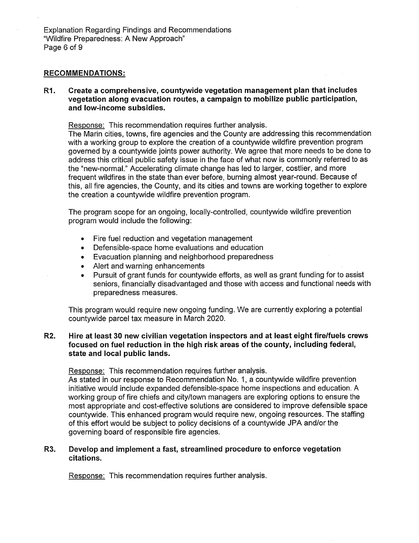Explanation Regarding Findings and Recommendations "Wildfire Preparedness: A New Approach" Page 6 of 9

# **RECOMMENDATIONS:**

R<sub>1</sub> **Create a comprehensive, countywide vegetation management plan that includes vegetation along evacuation routes, a campaign to mobilize public participation, and low-income subsidies.** 

Response: This recommendation requires further analysis.

The Marin cities, towns, fire agencies and the County are addressing this recommendation with a working group to explore the creation of a countywide wildfire prevention program governed by a countywide joints power authority. We agree that more needs to be done to address this critical public safety issue in the face of what now is commonly referred to as the "new-normal." Accelerating climate change has led to larger, costlier, and more frequent wildfires in the state than ever before, burning almost year-round. Because of this, all fire agencies, the County, and its cities and towns are working together to explore the creation a countywide wildfire prevention program.

The program scope for an ongoing, locally-controlled, countywide wildfire prevention program would include the following:

- Fire fuel reduction and vegetation management
- Defensible-space home evaluations and education
- Evacuation planning and neighborhood preparedness
- Alert and warning enhancements
- Pursuit of grant funds for countywide efforts, as well as grant funding for to assist seniors, financially disadvantaged and those with access and functional needs with preparedness measures.

This program would require new ongoing funding. We are currently exploring a potential countywide parcel tax measure in March 2020.

# **R2. Hire at least 30 new civilian vegetation inspectors and at least eight fire/fuels crews focused on fuel reduction in the high risk areas of the county, including federal, state and local public lands.**

Response: This recommendation requires further analysis.

As stated in our response to Recommendation No. 1, a countywide wildfire prevention initiative would include expanded defensible-space home inspections and education. A working group of fire chiefs and city/town managers are exploring options to ensure the most appropriate and cost-effective solutions are considered to improve defensible space countywide. This enhanced program would require new, ongoing resources. The staffing of this effort would be subject to policy decisions of a countywide JPA and/or the governing board of responsible fire agencies.

## **R3. Develop and implement a fast, streamlined procedure to enforce vegetation citations.**

Response: This recommendation requires further analysis.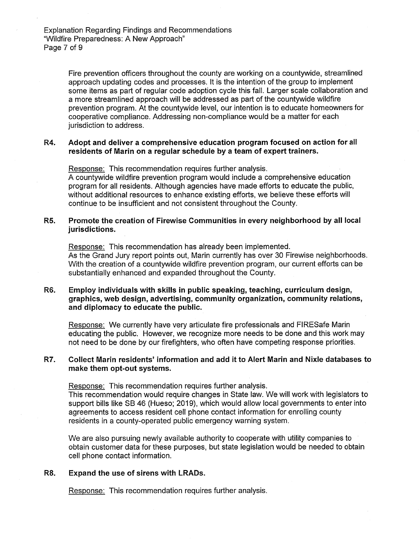Fire prevention officers throughout the county are working on a countywide, streamlined approach updating codes and processes. It is the intention of the group to implement some items as part of regular code adoption cycle this fall. Larger scale collaboration and a more streamlined approach will be addressed as part of the countywide wildfire prevention program. At the countywide level, our intention is to educate homeowners for cooperative compliance. Addressing non-compliance would be a matter for each jurisdiction to address.

## **R4. Adopt and deliver a comprehensive education program focused on action for all**  residents of Marin on a regular schedule by a team of expert trainers.

Response: This recommendation requires further analysis. A countywide wildfire prevention program would include a comprehensive education program for all residents. Although agencies have made efforts to educate the public, without additional resources to enhance existing efforts, we believe these efforts will continue to be insufficient and not consistent throughout the County.

## **R5. Promote the creation of Firewise Communities in every neighborhood by all local jurisdictions.**

Response: This recommendation has already been implemented. As the Grand Jury report points out, Marin currently has over 30 Firewise neighborhoods. With the creation of a countywide wildfire prevention program, our current efforts can be substantially enhanced and expanded throughout the County.

## **R6. Employ individuals with skills in public speaking, teaching, curriculum design, graphics, web design, advertising, community organization, community relations, and diplomacy to educate the public.**

Response: We currently have very articulate fire professionals and FIRESafe Marin educating the public. However, we recognize more needs to be done and this work may not need to be done by our firefighters, who often have competing response priorities.

# R7. Collect Marin residents' information and add it to Alert Marin and Nixle databases to **make them opt-out systems.**

Response: This recommendation requires further analysis. This recommendation would require changes in State law. We will work with legislators to support bills like SB 46 (Hueso; 2019), which would allow local governments to enter into agreements to access resident cell phone contact information for enrolling county residents in a county-operated public emergency warning system.

We are also pursuing newly available authority to cooperate with utility companies to obtain customer data for these purposes, but state legislation would be needed to obtain cell phone contact information.

#### **R8. Expand the use of sirens with LRADs.**

Response: This recommendation requires further analysis.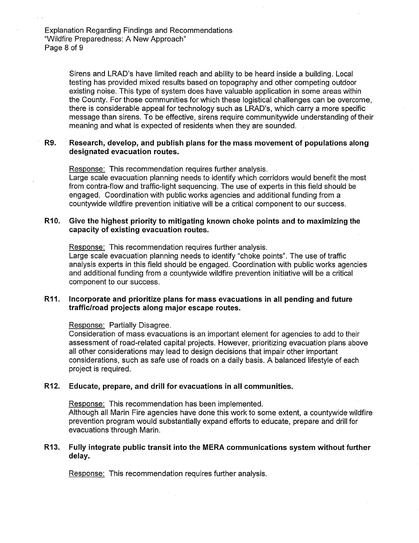Explanation Regarding Findings and Recommendations "Wildfire Preparedness: A New Approach" Page 8 of 9

> Sirens and LRAD's have limited reach and ability to be heard inside a building. Local testing has provided mixed results based on topography and other competing outdoor existing noise. This type of system does have valuable application in some areas within the County. For those communities for which these logistical challenges can be overcome, there is considerable appeal for technology such as LRAD's, which carry a more specific message than sirens. To be effective, sirens require communitywide understanding of their meaning and what is expected of residents when they are sounded.

# **R9. Research, develop, and publish plans for the mass movement of populations along designated evacuation routes.**

Response: This recommendation requires further analysis. Large scale evacuation planning needs to identify which corridors would benefit the most from contra-flow and traffic-light sequencing. The use of experts in this field should be engaged. Coordination with public works agencies and additional funding from a countywide wildfire prevention initiative will be a critical component to our success.

### **R10. Give the highest priority to mitigating known choke points and to maximizing the capacity of existing evacuation routes.**

Response: This recommendation requires further analysis.

Large scale evacuation planning needs to identify "choke points". The use of traffic analysis experts in this field should be engaged. Coordination with public works agencies and additional funding from a countywide wildfire prevention initiative will be a critical component to our success.

### **R11. Incorporate and prioritize plans for mass evacuations in all pending and future traffic/road projects along major escape routes.**

Response: Partially Disagree.

Consideration of mass evacuations is an important element for agencies to add to their assessment of road-related capital projects. However, prioritizing evacuation plans above all other considerations may lead to design decisions that impair other important considerations, such as safe use of roads on a daily basis. A balanced lifestyle of each project is required.

### **R12. Educate, prepare, and drill for evacuations in all communities.**

Response: This recommendation has been implemented. Although all Marin Fire agencies have done this work to some extent, a countywide wildfire prevention program would substantially expand efforts to educate, prepare and drill for evacuations through Marin.

### **R13. Fully integrate public transit into the MERA communications system without further delay.**

Response: This recommendation requires further analysis.